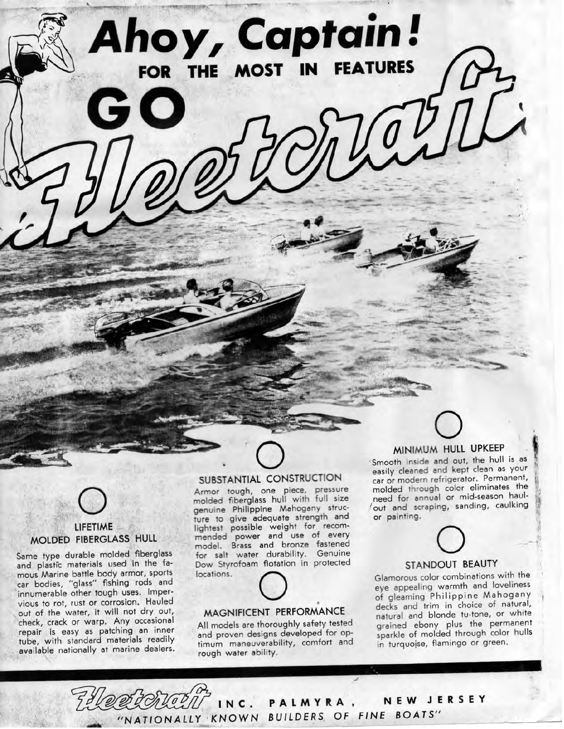### LIFETIME  $L$ IFETIME **MOLDED THERE'S NO THERE'S**

Same type durable molded fiberglass and plastic materials used in the famous Marine battle body armor, sports car bodies, "glass" fishing rods and innumerable other tough uses. Impervious to rot, rust or corrosion. Hauled out of the water, it will not dry out, check, crack or warp. Any occasional repair is easy as patching an inner tube, with standard materials readily<br>available nationally at marine dealers.

### SUBSTANTIAL CONSTRUCTION

**Ahoy, Captain!** 

THE MOST

**FEATURES** 

SUBSTAINTING CONSTRUCTION ed from tough, one piece, pressure olded fiberglass hull with full size genuine Philippine Mahogany structure to give adequate strength and lightest possible weight for recommended power and use of every model. Brass and bronze fastened for salt water durability. Genuine bow Styrofoam flotation<br>boations.

## MAGNIFICEN T PERFORMANCE

All models are thoroughly safety tested all models are moroughly salely lesled and proven designs developed for optimum maneuverability, comfort and<br>rough water ability.

## MINIMUM HULL UPKEEP

Smooth inside and out, the hull is as easily cleared and kept clean as your car or modern refrigerator. Permanent, molded through color eliminates the need for annual or mid-season haul- ^ 'out and scraping, sanding, caulking<sup>i</sup> or painting.

# $\circ$ STANDOUT BEAUTY

Glamorous color combinations with the eye appealing warmth and loveliness of gleaming Philippine Mahogany decks and trim in choice of natural, natural and blonde tu-tone, or white grained ebony plus the permanent sparkle of molded through color hulls in turquojse, flamingo or green.

INC . **PALMYR A** NEW JERSEY KNOWN BULLDERS OF